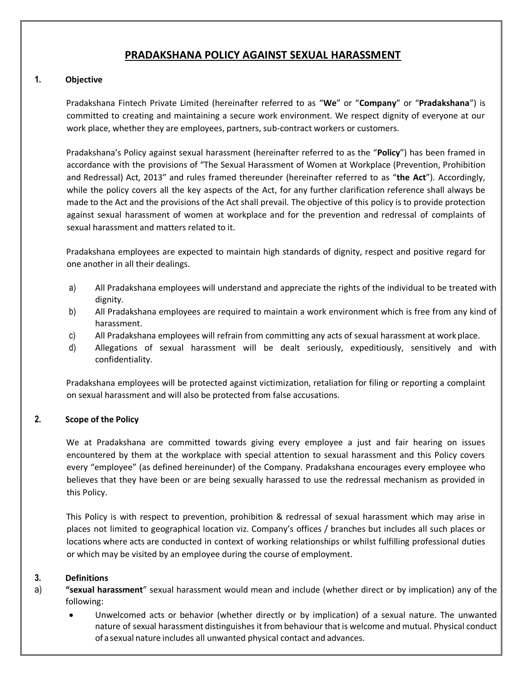# **PRADAKSHANA POLICY AGAINST SEXUAL HARASSMENT**

# **1. Objective**

Pradakshana Fintech Private Limited (hereinafter referred to as "**We**" or "**Company**" or "**Pradakshana**") is committed to creating and maintaining a secure work environment. We respect dignity of everyone at our work place, whether they are employees, partners, sub-contract workers or customers.

Pradakshana's Policy against sexual harassment (hereinafter referred to as the "**Policy**") has been framed in accordance with the provisions of "The Sexual Harassment of Women at Workplace (Prevention, Prohibition and Redressal) Act, 2013" and rules framed thereunder (hereinafter referred to as "**the Act**"). Accordingly, while the policy covers all the key aspects of the Act, for any further clarification reference shall always be made to the Act and the provisions of the Act shall prevail. The objective of this policy is to provide protection against sexual harassment of women at workplace and for the prevention and redressal of complaints of sexual harassment and matters related to it.

Pradakshana employees are expected to maintain high standards of dignity, respect and positive regard for one another in all their dealings.

- a) All Pradakshana employees will understand and appreciate the rights of the individual to be treated with dignity.
- b) All Pradakshana employees are required to maintain a work environment which is free from any kind of harassment.
- c) All Pradakshana employees will refrain from committing any acts of sexual harassment at workplace.
- d) Allegations of sexual harassment will be dealt seriously, expeditiously, sensitively and with confidentiality.

Pradakshana employees will be protected against victimization, retaliation for filing or reporting a complaint on sexual harassment and will also be protected from false accusations.

# **2. Scope of the Policy**

We at Pradakshana are committed towards giving every employee a just and fair hearing on issues encountered by them at the workplace with special attention to sexual harassment and this Policy covers every "employee" (as defined hereinunder) of the Company. Pradakshana encourages every employee who believes that they have been or are being sexually harassed to use the redressal mechanism as provided in this Policy.

This Policy is with respect to prevention, prohibition & redressal of sexual harassment which may arise in places not limited to geographical location viz. Company's offices / branches but includes all such places or locations where acts are conducted in context of working relationships or whilst fulfilling professional duties or which may be visited by an employee during the course of employment.

# **3. Definitions**

- a) **"sexual harassment**" sexual harassment would mean and include (whether direct or by implication) any of the following:
	- Unwelcomed acts or behavior (whether directly or by implication) of a sexual nature. The unwanted nature of sexual harassment distinguishes it from behaviour thatis welcome and mutual. Physical conduct of a sexual nature includes all unwanted physical contact and advances.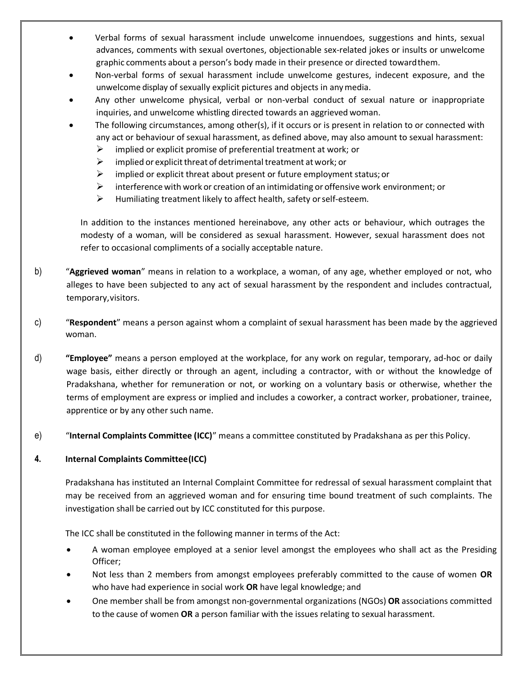- Verbal forms of sexual harassment include unwelcome innuendoes, suggestions and hints, sexual advances, comments with sexual overtones, objectionable sex-related jokes or insults or unwelcome graphic comments about a person's body made in their presence or directed towardthem.
- Non-verbal forms of sexual harassment include unwelcome gestures, indecent exposure, and the unwelcome display of sexually explicit pictures and objects in anymedia.
- Any other unwelcome physical, verbal or non-verbal conduct of sexual nature or inappropriate inquiries, and unwelcome whistling directed towards an aggrieved woman.
- The following circumstances, among other(s), if it occurs or is present in relation to or connected with any act or behaviour of sexual harassment, as defined above, may also amount to sexual harassment:
	- $\triangleright$  implied or explicit promise of preferential treatment at work; or
	- $\triangleright$  implied or explicit threat of detrimental treatment at work; or
	- $\triangleright$  implied or explicit threat about present or future employment status; or
	- $\triangleright$  interference with work or creation of an intimidating or offensive work environment; or
	- $\triangleright$  Humiliating treatment likely to affect health, safety or self-esteem.

In addition to the instances mentioned hereinabove, any other acts or behaviour, which outrages the modesty of a woman, will be considered as sexual harassment. However, sexual harassment does not refer to occasional compliments of a socially acceptable nature.

- b) "**Aggrieved woman**" means in relation to a workplace, a woman, of any age, whether employed or not, who alleges to have been subjected to any act of sexual harassment by the respondent and includes contractual, temporary,visitors.
- c) "**Respondent**" means a person against whom a complaint of sexual harassment has been made by the aggrieved woman.
- d) **"Employee"** means a person employed at the workplace, for any work on regular, temporary, ad-hoc or daily wage basis, either directly or through an agent, including a contractor, with or without the knowledge of Pradakshana, whether for remuneration or not, or working on a voluntary basis or otherwise, whether the terms of employment are express or implied and includes a coworker, a contract worker, probationer, trainee, apprentice or by any other such name.
- e) "**Internal Complaints Committee (ICC)**" means a committee constituted by Pradakshana as per this Policy.

# **4. Internal Complaints Committee(ICC)**

Pradakshana has instituted an Internal Complaint Committee for redressal of sexual harassment complaint that may be received from an aggrieved woman and for ensuring time bound treatment of such complaints. The investigation shall be carried out by ICC constituted for this purpose.

The ICC shall be constituted in the following manner in terms of the Act:

- A woman employee employed at a senior level amongst the employees who shall act as the Presiding Officer;
- Not less than 2 members from amongst employees preferably committed to the cause of women **OR**  who have had experience in social work **OR** have legal knowledge; and
- One member shall be from amongst non-governmental organizations (NGOs) **OR** associations committed to the cause of women **OR** a person familiar with the issues relating to sexual harassment.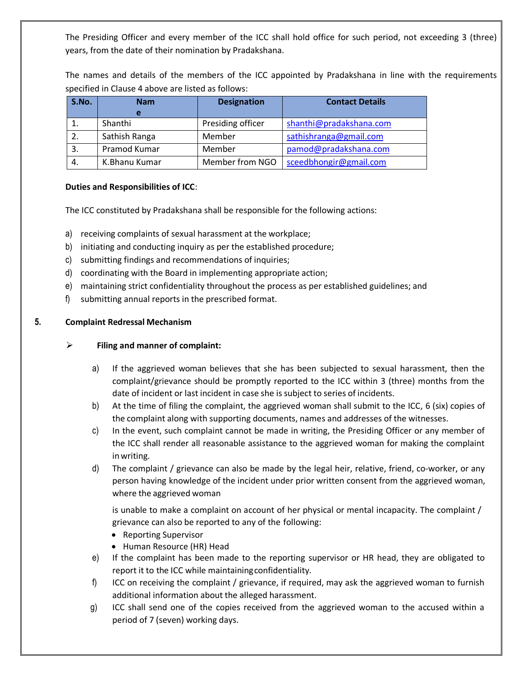The Presiding Officer and every member of the ICC shall hold office for such period, not exceeding 3 (three) years, from the date of their nomination by Pradakshana.

The names and details of the members of the ICC appointed by Pradakshana in line with the requirements specified in Clause 4 above are listed as follows:

| S.No. | <b>Nam</b>    | <b>Designation</b> | <b>Contact Details</b>  |
|-------|---------------|--------------------|-------------------------|
|       |               |                    |                         |
|       | Shanthi       | Presiding officer  | shanthi@pradakshana.com |
|       | Sathish Ranga | Member             | sathishranga@gmail.com  |
| 3.    | Pramod Kumar  | Member             | pamod@pradakshana.com   |
| 4.    | K.Bhanu Kumar | Member from NGO    | sceedbhongir@gmail.com  |

## **Duties and Responsibilities of ICC**:

The ICC constituted by Pradakshana shall be responsible for the following actions:

- a) receiving complaints of sexual harassment at the workplace;
- b) initiating and conducting inquiry as per the established procedure;
- c) submitting findings and recommendations of inquiries;
- d) coordinating with the Board in implementing appropriate action;
- e) maintaining strict confidentiality throughout the process as per established guidelines; and
- f) submitting annual reports in the prescribed format.

## **5. Complaint Redressal Mechanism**

## **Filing and manner of complaint:**

- a) If the aggrieved woman believes that she has been subjected to sexual harassment, then the complaint/grievance should be promptly reported to the ICC within 3 (three) months from the date of incident or last incident in case she is subject to series of incidents.
- b) At the time of filing the complaint, the aggrieved woman shall submit to the ICC, 6 (six) copies of the complaint along with supporting documents, names and addresses of the witnesses.
- c) In the event, such complaint cannot be made in writing, the Presiding Officer or any member of the ICC shall render all reasonable assistance to the aggrieved woman for making the complaint inwriting.
- d) The complaint / grievance can also be made by the legal heir, relative, friend, co-worker, or any person having knowledge of the incident under prior written consent from the aggrieved woman, where the aggrieved woman

is unable to make a complaint on account of her physical or mental incapacity. The complaint / grievance can also be reported to any of the following:

- Reporting Supervisor
- Human Resource (HR) Head
- e) If the complaint has been made to the reporting supervisor or HR head, they are obligated to report it to the ICC while maintainingconfidentiality.
- f) ICC on receiving the complaint / grievance, if required, may ask the aggrieved woman to furnish additional information about the alleged harassment.
- g) ICC shall send one of the copies received from the aggrieved woman to the accused within a period of 7 (seven) working days.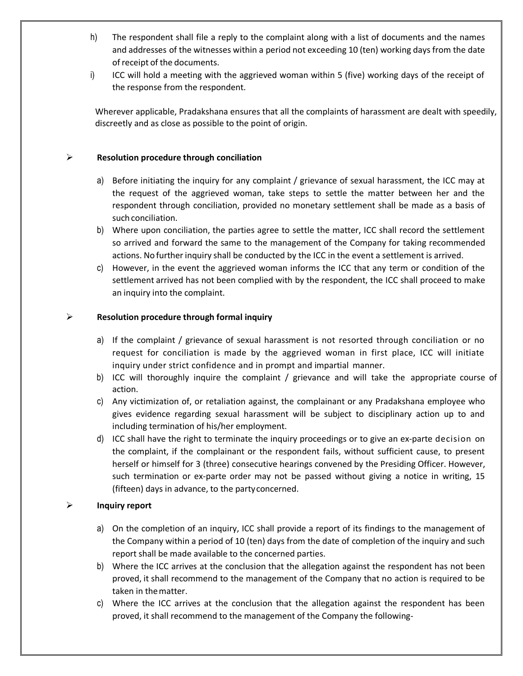- h) The respondent shall file a reply to the complaint along with a list of documents and the names and addresses of the witnesses within a period not exceeding 10 (ten) working days from the date ofreceipt of the documents.
- i) ICC will hold a meeting with the aggrieved woman within 5 (five) working days of the receipt of the response from the respondent.

Wherever applicable, Pradakshana ensures that all the complaints of harassment are dealt with speedily, discreetly and as close as possible to the point of origin.

## **Resolution procedure through conciliation**

- a) Before initiating the inquiry for any complaint / grievance of sexual harassment, the ICC may at the request of the aggrieved woman, take steps to settle the matter between her and the respondent through conciliation, provided no monetary settlement shall be made as a basis of such conciliation.
- b) Where upon conciliation, the parties agree to settle the matter, ICC shall record the settlement so arrived and forward the same to the management of the Company for taking recommended actions. No furtherinquiry shall be conducted by the ICC in the event a settlement is arrived.
- c) However, in the event the aggrieved woman informs the ICC that any term or condition of the settlement arrived has not been complied with by the respondent, the ICC shall proceed to make an inquiry into the complaint.

## **Resolution procedure through formal inquiry**

- a) If the complaint / grievance of sexual harassment is not resorted through conciliation or no request for conciliation is made by the aggrieved woman in first place, ICC will initiate inquiry under strict confidence and in prompt and impartial manner.
- b) ICC will thoroughly inquire the complaint / grievance and will take the appropriate course of action.
- c) Any victimization of, or retaliation against, the complainant or any Pradakshana employee who gives evidence regarding sexual harassment will be subject to disciplinary action up to and including termination of his/her employment.
- d) ICC shall have the right to terminate the inquiry proceedings or to give an ex-parte decision on the complaint, if the complainant or the respondent fails, without sufficient cause, to present herself or himself for 3 (three) consecutive hearings convened by the Presiding Officer. However, such termination or ex-parte order may not be passed without giving a notice in writing, 15 (fifteen) days in advance, to the partyconcerned.

# **Inquiry report**

- a) On the completion of an inquiry, ICC shall provide a report of its findings to the management of the Company within a period of 10 (ten) days from the date of completion of the inquiry and such report shall be made available to the concerned parties.
- b) Where the ICC arrives at the conclusion that the allegation against the respondent has not been proved, it shall recommend to the management of the Company that no action is required to be taken in thematter.
- c) Where the ICC arrives at the conclusion that the allegation against the respondent has been proved, it shall recommend to the management of the Company the following-